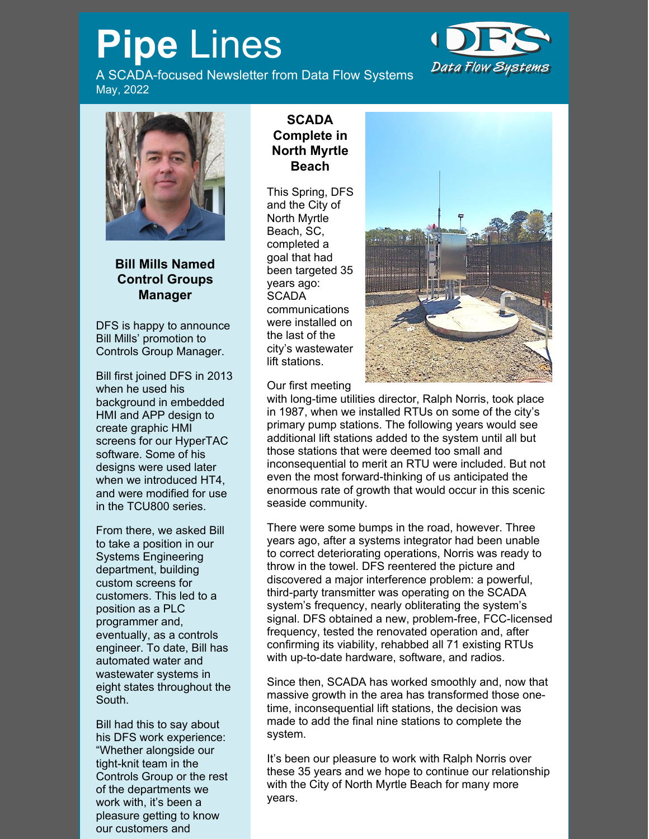## **Pipe** Lines

A SCADA-focused Newsletter from Data Flow Systems May, 2022





**Bill Mills Named Control Groups Manager**

DFS is happy to announce Bill Mills' promotion to Controls Group Manager.

Bill first joined DFS in 2013 when he used his background in embedded HMI and APP design to create graphic HMI screens for our HyperTAC software. Some of his designs were used later when we introduced HT4. and were modified for use in the TCU800 series.

From there, we asked Bill to take a position in our Systems Engineering department, building custom screens for customers. This led to a position as a PLC programmer and, eventually, as a controls engineer. To date, Bill has automated water and wastewater systems in eight states throughout the South.

Bill had this to say about his DFS work experience: "Whether alongside our tight-knit team in the Controls Group or the rest of the departments we work with, it's been a pleasure getting to know our customers and

## **SCADA Complete in North Myrtle Beach**

This Spring, DFS and the City of North Myrtle Beach, SC, completed a goal that had been targeted 35 years ago: **SCADA** communications were installed on the last of the city's wastewater lift stations.



Our first meeting

with long-time utilities director, Ralph Norris, took place in 1987, when we installed RTUs on some of the city's primary pump stations. The following years would see additional lift stations added to the system until all but those stations that were deemed too small and inconsequential to merit an RTU were included. But not even the most forward-thinking of us anticipated the enormous rate of growth that would occur in this scenic seaside community.

There were some bumps in the road, however. Three years ago, after a systems integrator had been unable to correct deteriorating operations, Norris was ready to throw in the towel. DFS reentered the picture and discovered a major interference problem: a powerful, third-party transmitter was operating on the SCADA system's frequency, nearly obliterating the system's signal. DFS obtained a new, problem-free, FCC-licensed frequency, tested the renovated operation and, after confirming its viability, rehabbed all 71 existing RTUs with up-to-date hardware, software, and radios.

Since then, SCADA has worked smoothly and, now that massive growth in the area has transformed those onetime, inconsequential lift stations, the decision was made to add the final nine stations to complete the system.

It's been our pleasure to work with Ralph Norris over these 35 years and we hope to continue our relationship with the City of North Myrtle Beach for many more years.